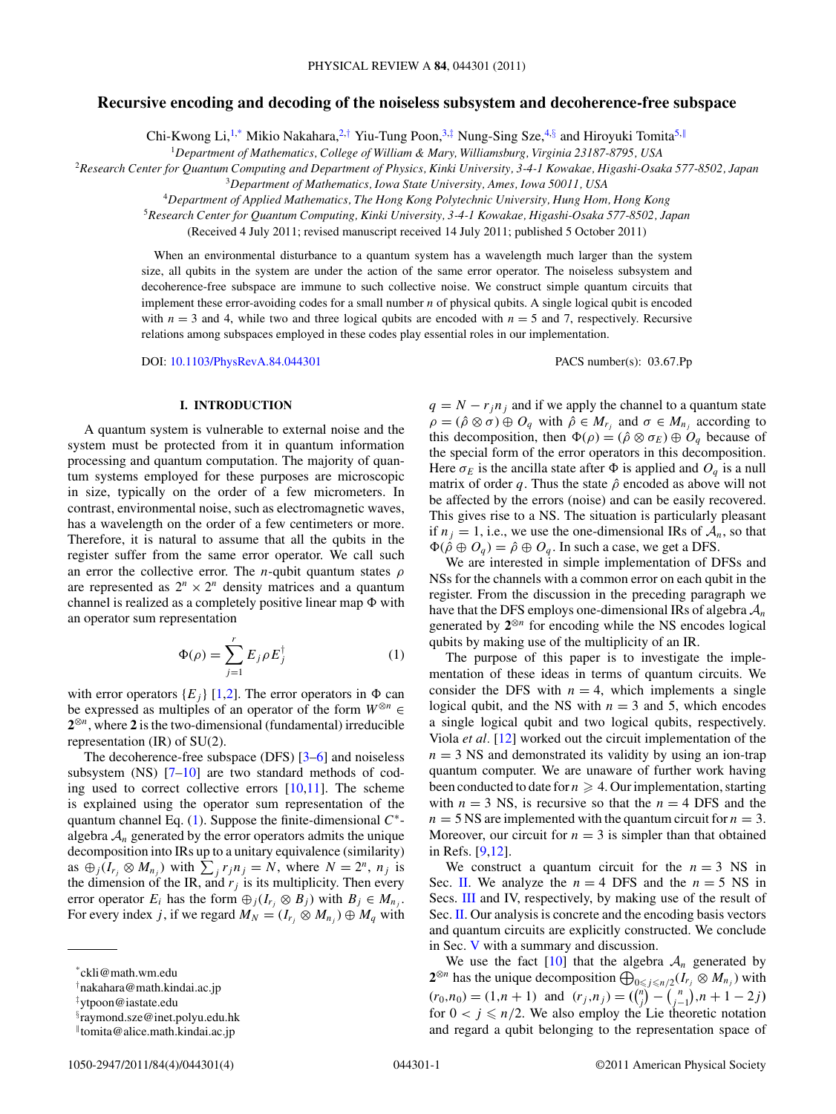## **Recursive encoding and decoding of the noiseless subsystem and decoherence-free subspace**

Chi-Kwong Li,<sup>1,\*</sup> Mikio Nakahara,<sup>2,†</sup> Yiu-Tung Poon,<sup>3,‡</sup> Nung-Sing Sze,<sup>4,§</sup> and Hiroyuki Tomita<sup>5,||</sup>

<sup>1</sup>*Department of Mathematics, College of William & Mary, Williamsburg, Virginia 23187-8795, USA*

<sup>2</sup>*Research Center for Quantum Computing and Department of Physics, Kinki University, 3-4-1 Kowakae, Higashi-Osaka 577-8502, Japan*

<sup>3</sup>*Department of Mathematics, Iowa State University, Ames, Iowa 50011, USA*

<sup>4</sup>*Department of Applied Mathematics, The Hong Kong Polytechnic University, Hung Hom, Hong Kong*

<sup>5</sup>*Research Center for Quantum Computing, Kinki University, 3-4-1 Kowakae, Higashi-Osaka 577-8502, Japan*

(Received 4 July 2011; revised manuscript received 14 July 2011; published 5 October 2011)

When an environmental disturbance to a quantum system has a wavelength much larger than the system size, all qubits in the system are under the action of the same error operator. The noiseless subsystem and decoherence-free subspace are immune to such collective noise. We construct simple quantum circuits that implement these error-avoiding codes for a small number *n* of physical qubits. A single logical qubit is encoded with  $n = 3$  and 4, while two and three logical qubits are encoded with  $n = 5$  and 7, respectively. Recursive relations among subspaces employed in these codes play essential roles in our implementation.

DOI: [10.1103/PhysRevA.84.044301](http://dx.doi.org/10.1103/PhysRevA.84.044301) PACS number(s): 03*.*67*.*Pp

#### **I. INTRODUCTION**

A quantum system is vulnerable to external noise and the system must be protected from it in quantum information processing and quantum computation. The majority of quantum systems employed for these purposes are microscopic in size, typically on the order of a few micrometers. In contrast, environmental noise, such as electromagnetic waves, has a wavelength on the order of a few centimeters or more. Therefore, it is natural to assume that all the qubits in the register suffer from the same error operator. We call such an error the collective error. The *n*-qubit quantum states *ρ* are represented as  $2^n \times 2^n$  density matrices and a quantum channel is realized as a completely positive linear map  $\Phi$  with an operator sum representation

$$
\Phi(\rho) = \sum_{j=1}^{r} E_j \rho E_j^{\dagger} \tag{1}
$$

with error operators  ${E_i}$  [\[1,2\]](#page-3-0). The error operators in  $\Phi$  can be expressed as multiples of an operator of the form  $W^{\otimes n}$  ∈ **2**⊗*<sup>n</sup>*, where **2** is the two-dimensional (fundamental) irreducible representation (IR) of SU(2).

The decoherence-free subspace (DFS) [\[3–6\]](#page-3-0) and noiseless subsystem  $(NS)$  [\[7–10\]](#page-3-0) are two standard methods of coding used to correct collective errors [\[10,11\]](#page-3-0). The scheme is explained using the operator sum representation of the quantum channel Eq. (1). Suppose the finite-dimensional *C*<sup>∗</sup> algebra  $A_n$  generated by the error operators admits the unique decomposition into IRs up to a unitary equivalence (similarity) as  $\bigoplus_j (I_{r_j} \otimes M_{n_j})$  with  $\sum_j r_j n_j = N$ , where  $N = 2^n$ ,  $n_j$  is the dimension of the IR, and  $r_j$  is its multiplicity. Then every error operator  $E_i$  has the form  $\bigoplus_j (I_{r_j} \otimes B_j)$  with  $B_j \in M_{n_j}$ . For every index *j*, if we regard  $M_N = (I_{r_i} \otimes M_{n_i}) \oplus M_q$  with  $\rho = (\hat{\rho} \otimes \sigma) \oplus O_q$  with  $\hat{\rho} \in M_{r_i}$  and  $\sigma \in M_{n_i}$  according to this decomposition, then  $\Phi(\rho) = (\hat{\rho} \otimes \sigma_E) \oplus O_q$  because of the special form of the error operators in this decomposition. Here  $\sigma_E$  is the ancilla state after  $\Phi$  is applied and  $O_q$  is a null matrix of order q. Thus the state  $\hat{\rho}$  encoded as above will not be affected by the errors (noise) and can be easily recovered. This gives rise to a NS. The situation is particularly pleasant if  $n_j = 1$ , i.e., we use the one-dimensional IRs of  $A_n$ , so that  $\Phi(\hat{\rho} \oplus O_q) = \hat{\rho} \oplus O_q$ . In such a case, we get a DFS.

 $q = N - r_j n_j$  and if we apply the channel to a quantum state

We are interested in simple implementation of DFSs and NSs for the channels with a common error on each qubit in the register. From the discussion in the preceding paragraph we have that the DFS employs one-dimensional IRs of algebra A*<sup>n</sup>* generated by **2**⊗*<sup>n</sup>* for encoding while the NS encodes logical qubits by making use of the multiplicity of an IR.

The purpose of this paper is to investigate the implementation of these ideas in terms of quantum circuits. We consider the DFS with  $n = 4$ , which implements a single logical qubit, and the NS with  $n = 3$  and 5, which encodes a single logical qubit and two logical qubits, respectively. Viola *et al.* [\[12\]](#page-3-0) worked out the circuit implementation of the  $n = 3$  NS and demonstrated its validity by using an ion-trap quantum computer. We are unaware of further work having been conducted to date for  $n \geqslant 4$ . Our implementation, starting with  $n = 3$  NS, is recursive so that the  $n = 4$  DFS and the  $n = 5$  NS are implemented with the quantum circuit for  $n = 3$ . Moreover, our circuit for  $n = 3$  is simpler than that obtained in Refs. [\[9,12\]](#page-3-0).

We construct a quantum circuit for the  $n = 3$  NS in Sec. [II.](#page-1-0) We analyze the  $n = 4$  DFS and the  $n = 5$  NS in Secs. [III](#page-2-0) and IV, respectively, by making use of the result of Sec. [II.](#page-1-0) Our analysis is concrete and the encoding basis vectors and quantum circuits are explicitly constructed. We conclude in Sec. [V](#page-3-0) with a summary and discussion.

We use the fact  $[10]$  that the algebra  $A_n$  generated by **2**<sup>⊗*n*</sup> has the unique decomposition  $\bigoplus_{0 \le j \le n/2} (I_{r_j} ⊗ M_{n_j})$  with  $(r_0, n_0) = (1, n + 1)$  and  $(r_j, n_j) = \binom{n}{j} - \binom{n}{j-1}, n + 1 - 2j$ for  $0 < j \le n/2$ . We also employ the Lie theoretic notation and regard a qubit belonging to the representation space of

<sup>\*</sup>ckli@math.wm.edu

<sup>†</sup> nakahara@math.kindai.ac.jp

<sup>‡</sup> ytpoon@iastate.edu

<sup>§</sup> raymond.sze@inet.polyu.edu.hk

<sup>-</sup>tomita@alice.math.kindai.ac.jp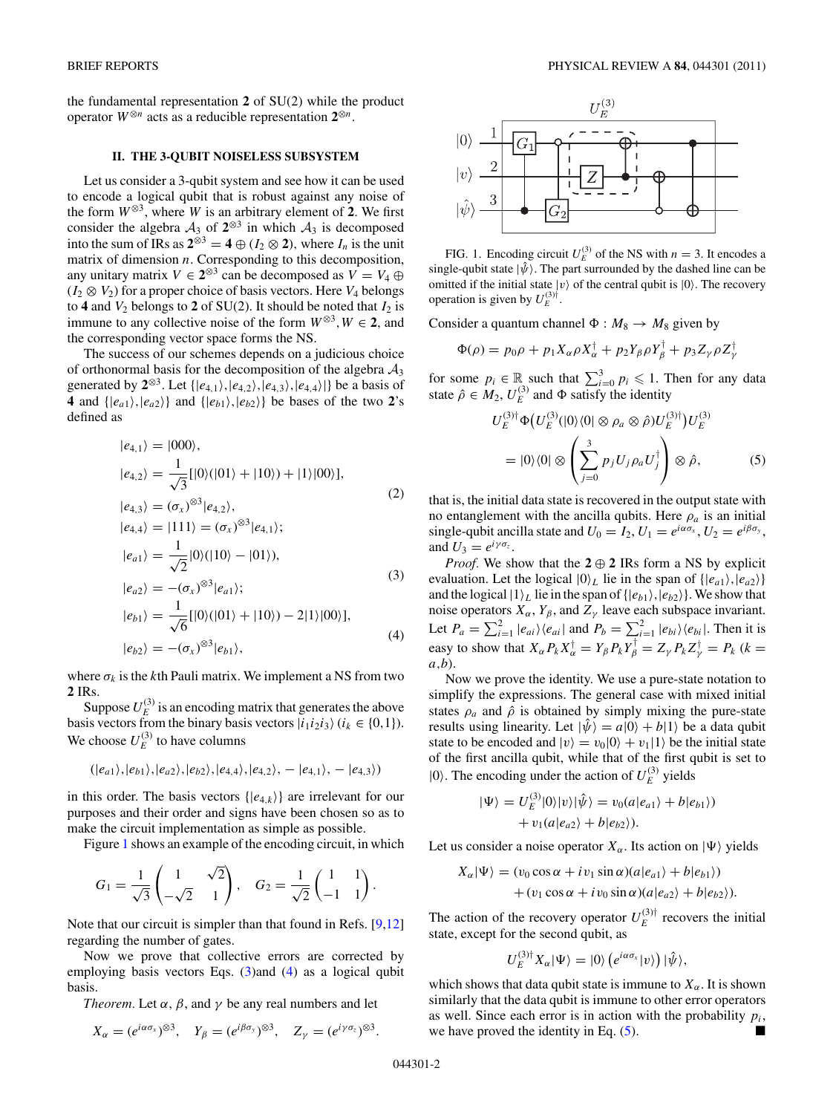<span id="page-1-0"></span>the fundamental representation **2** of SU(2) while the product operator *W*<sup>⊗</sup>*<sup>n</sup>* acts as a reducible representation **2**<sup>⊗</sup>*<sup>n</sup>*.

## **II. THE 3-QUBIT NOISELESS SUBSYSTEM**

Let us consider a 3-qubit system and see how it can be used to encode a logical qubit that is robust against any noise of the form  $W^{\otimes 3}$ , where *W* is an arbitrary element of 2. We first consider the algebra  $A_3$  of  $2^{\otimes 3}$  in which  $A_3$  is decomposed into the sum of IRs as  $2^{\otimes 3} = 4 \oplus (I_2 \otimes 2)$ , where  $I_n$  is the unit matrix of dimension *n*. Corresponding to this decomposition, any unitary matrix  $V \in 2^{\otimes 3}$  can be decomposed as  $V = V_4 \oplus$  $(I_2 \otimes V_2)$  for a proper choice of basis vectors. Here  $V_4$  belongs to **4** and  $V_2$  belongs to **2** of SU(2). It should be noted that  $I_2$  is immune to any collective noise of the form  $W^{\otimes 3}$ ,  $W \in 2$ , and the corresponding vector space forms the NS.

The success of our schemes depends on a judicious choice of orthonormal basis for the decomposition of the algebra  $A_3$ generated by  $2^{\otimes 3}$ . Let  $\{|e_{4,1}\rangle, |e_{4,2}\rangle, |e_{4,3}\rangle, |e_{4,4}\rangle\}$  be a basis of **4** and  $\{|e_{a1}\rangle, |e_{a2}\rangle\}$  and  $\{|e_{b1}\rangle, |e_{b2}\rangle\}$  be bases of the two 2's defined as

$$
|e_{4,1}\rangle = |000\rangle,
$$
  
\n
$$
|e_{4,2}\rangle = \frac{1}{\sqrt{3}}[|0\rangle(|01\rangle + |10\rangle) + |1\rangle|00\rangle],
$$
  
\n
$$
|e_{4,3}\rangle = (\sigma_x)^{\otimes 3}|e_{4,2}\rangle,
$$
  
\n
$$
|e_{4,4}\rangle = |111\rangle = (\sigma_x)^{\otimes 3}|e_{4,1}\rangle;
$$
  
\n
$$
|e_{a1}\rangle = \frac{1}{\sqrt{2}}|0\rangle(|10\rangle - |01\rangle),
$$
  
\n
$$
|e_{a2}\rangle = -(\sigma_x)^{\otimes 3}|e_{a1}\rangle;
$$
  
\n
$$
|e_{b1}\rangle = \frac{1}{\sqrt{6}}[|0\rangle(|01\rangle + |10\rangle) - 2|1\rangle|00\rangle],
$$
  
\n
$$
|e_{b2}\rangle = -(\sigma_x)^{\otimes 3}|e_{b1}\rangle,
$$
  
\n(4)

where  $\sigma_k$  is the *k*th Pauli matrix. We implement a NS from two **2** IRs.

Suppose  $U_E^{(3)}$  is an encoding matrix that generates the above basis vectors from the binary basis vectors  $|i_1i_2i_3\rangle$  ( $i_k \in \{0,1\}$ ). We choose  $U_E^{(3)}$  to have columns

$$
(|e_{a1}\rangle, |e_{b1}\rangle, |e_{a2}\rangle, |e_{b2}\rangle, |e_{4,4}\rangle, |e_{4,2}\rangle, -|e_{4,1}\rangle, -|e_{4,3}\rangle)
$$

in this order. The basis vectors  $\{ |e_{4,k}\rangle \}$  are irrelevant for our purposes and their order and signs have been chosen so as to make the circuit implementation as simple as possible.

Figure 1 shows an example of the encoding circuit, in which

$$
G_1 = \frac{1}{\sqrt{3}} \begin{pmatrix} 1 & \sqrt{2} \\ -\sqrt{2} & 1 \end{pmatrix}, \quad G_2 = \frac{1}{\sqrt{2}} \begin{pmatrix} 1 & 1 \\ -1 & 1 \end{pmatrix}.
$$

Note that our circuit is simpler than that found in Refs. [\[9,12\]](#page-3-0) regarding the number of gates.

Now we prove that collective errors are corrected by employing basis vectors Eqs. (3)and (4) as a logical qubit basis.

*Theorem.* Let  $\alpha$ ,  $\beta$ , and  $\gamma$  be any real numbers and let

$$
X_{\alpha} = (e^{i\alpha\sigma_x})^{\otimes 3}, Y_{\beta} = (e^{i\beta\sigma_y})^{\otimes 3}, Z_{\gamma} = (e^{i\gamma\sigma_z})^{\otimes 3}.
$$



FIG. 1. Encoding circuit  $U_E^{(3)}$  of the NS with  $n = 3$ . It encodes a single-qubit state  $|\hat{\psi}\rangle$ . The part surrounded by the dashed line can be omitted if the initial state  $|v\rangle$  of the central qubit is  $|0\rangle$ . The recovery operation is given by  $U_E^{(3)\dagger}$ .

Consider a quantum channel  $\Phi : M_8 \to M_8$  given by

$$
\Phi(\rho) = p_0 \rho + p_1 X_\alpha \rho X_\alpha^\dagger + p_2 Y_\beta \rho Y_\beta^\dagger + p_3 Z_\gamma \rho Z_\gamma^\dagger
$$

for some  $p_i \in \mathbb{R}$  such that  $\sum_{i=0}^{3} p_i \leq 1$ . Then for any data state  $\hat{\rho} \in M_2$ ,  $U_E^{(3)}$  and  $\Phi$  satisfy the identity

$$
U_E^{(3)\dagger} \Phi \left( U_E^{(3)}(|0\rangle\langle 0| \otimes \rho_a \otimes \hat{\rho} \right) U_E^{(3)\dagger} \right) U_E^{(3)}
$$
  
=  $|0\rangle\langle 0| \otimes \left( \sum_{j=0}^3 p_j U_j \rho_a U_j^{\dagger} \right) \otimes \hat{\rho},$  (5)

that is, the initial data state is recovered in the output state with no entanglement with the ancilla qubits. Here  $\rho_a$  is an initial single-qubit ancilla state and  $U_0 = I_2$ ,  $U_1 = e^{i\alpha\sigma_x}$ ,  $U_2 = e^{i\beta\sigma_y}$ , and  $U_3 = e^{i\gamma \sigma_z}$ .

*Proof.* We show that the  $2 \oplus 2$  IRs form a NS by explicit evaluation. Let the logical  $|0\rangle_L$  lie in the span of  $\{|e_{a1}\rangle, |e_{a2}\rangle\}$ and the logical  $|1\rangle_L$  lie in the span of  $\{|e_{b1}\rangle, |e_{b2}\rangle\}$ . We show that noise operators  $X_\alpha$ ,  $Y_\beta$ , and  $Z_\gamma$  leave each subspace invariant. Let  $P_a = \sum_{i=1}^2 |e_{ai}\rangle\langle e_{ai}|$  and  $P_b = \sum_{i=1}^2 |e_{bi}\rangle\langle e_{bi}|$ . Then it is easy to show that  $X_\alpha P_k X_\alpha^\dagger = Y_\beta P_k Y_\beta^\dagger = Z_\gamma P_k Z_\gamma^\dagger = P_k$  ( $k =$ *a,b*)*.*

Now we prove the identity. We use a pure-state notation to simplify the expressions. The general case with mixed initial states  $\rho_a$  and  $\hat{\rho}$  is obtained by simply mixing the pure-state results using linearity. Let  $|\hat{\psi}\rangle = a|0\rangle + b|1\rangle$  be a data qubit state to be encoded and  $|v\rangle = v_0|0\rangle + v_1|1\rangle$  be the initial state of the first ancilla qubit, while that of the first qubit is set to  $|0\rangle$ . The encoding under the action of  $U_E^{(3)}$  yields

$$
|\Psi\rangle = U_E^{(3)}|0\rangle|v\rangle|\hat{\psi}\rangle = v_0(a|e_{a1}\rangle + b|e_{b1}\rangle) + v_1(a|e_{a2}\rangle + b|e_{b2}\rangle).
$$

Let us consider a noise operator  $X_\alpha$ . Its action on  $|\Psi\rangle$  yields

$$
X_{\alpha}|\Psi\rangle = (v_0 \cos \alpha + iv_1 \sin \alpha)(a|e_{a1}\rangle + b|e_{b1}\rangle) + (v_1 \cos \alpha + iv_0 \sin \alpha)(a|e_{a2}\rangle + b|e_{b2}\rangle).
$$

The action of the recovery operator  $U_E^{(3)\dagger}$  recovers the initial state, except for the second qubit, as

$$
U_E^{(3)\dagger} X_\alpha |\Psi\rangle = |0\rangle \left(e^{i\alpha \sigma_x} |v\rangle\right) |\hat{\psi}\rangle,
$$

which shows that data qubit state is immune to  $X_\alpha$ . It is shown similarly that the data qubit is immune to other error operators as well. Since each error is in action with the probability  $p_i$ , we have proved the identity in Eq. (5).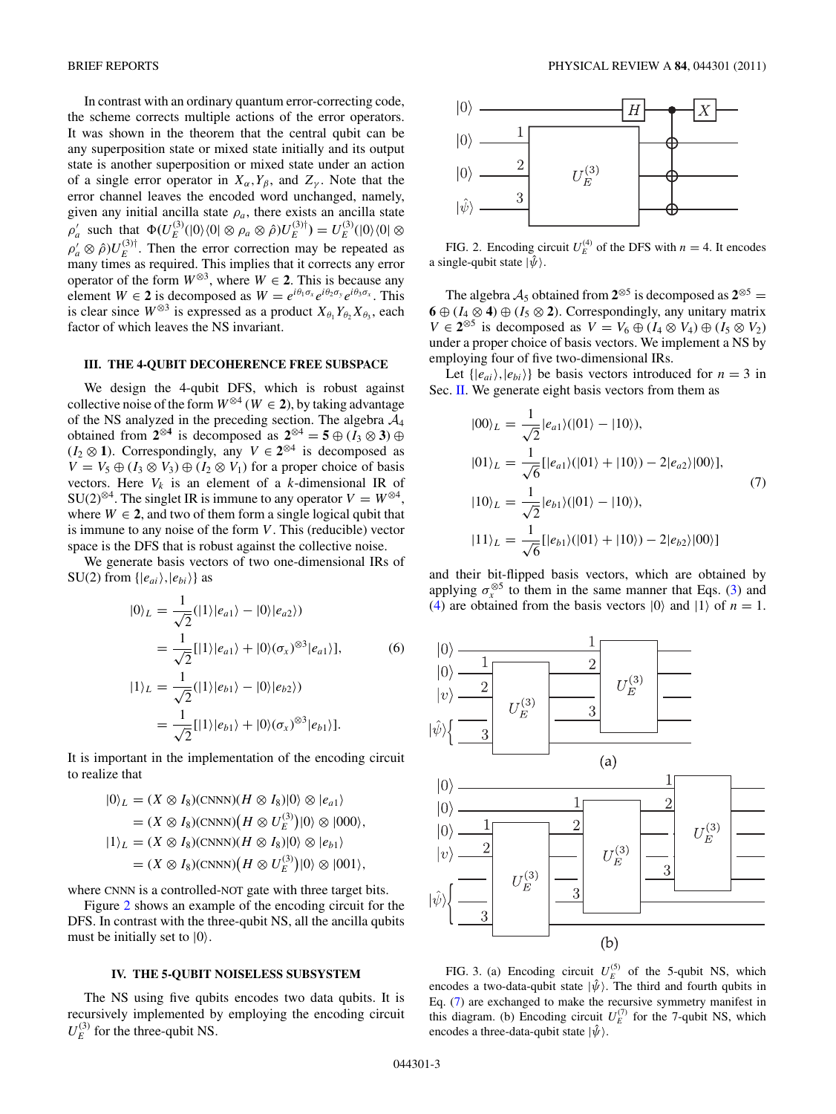<span id="page-2-0"></span>In contrast with an ordinary quantum error-correcting code, the scheme corrects multiple actions of the error operators. It was shown in the theorem that the central qubit can be any superposition state or mixed state initially and its output state is another superposition or mixed state under an action of a single error operator in  $X_\alpha, Y_\beta$ , and  $Z_\gamma$ . Note that the error channel leaves the encoded word unchanged, namely, given any initial ancilla state  $\rho_a$ , there exists an ancilla state  $\rho'_a$  such that  $\Phi(U_E^{(3)}(|0\rangle\langle0| \otimes \rho_a \otimes \hat{\rho})U_E^{(3)\dagger}) = U_E^{(3)}(|0\rangle\langle0| \otimes$  $\rho'_a \otimes \hat{\rho}$ ) $U_E^{(3)\dagger}$ . Then the error correction may be repeated as many times as required. This implies that it corrects any error operator of the form  $W^{\otimes 3}$ , where  $W \in 2$ . This is because any element  $W \in \mathbf{2}$  is decomposed as  $W = e^{i\theta_1 \sigma_x} e^{i\theta_2 \sigma_y} e^{i\theta_3 \sigma_x}$ . This is clear since  $W^{\otimes 3}$  is expressed as a product  $X_{\theta_1} Y_{\theta_2} X_{\theta_3}$ , each factor of which leaves the NS invariant.

### **III. THE 4-QUBIT DECOHERENCE FREE SUBSPACE**

We design the 4-qubit DFS, which is robust against collective noise of the form  $W^{\otimes 4}$  ( $W \in 2$ ), by taking advantage of the NS analyzed in the preceding section. The algebra  $A_4$ obtained from  $2^{\otimes 4}$  is decomposed as  $2^{\otimes 4} = 5 \oplus (I_3 \otimes 3) \oplus$ (*I*<sup>2</sup> ⊗ **1**)*.* Correspondingly, any *V* ∈ **2**⊗<sup>4</sup> is decomposed as  $V = V_5 \oplus (I_3 \otimes V_3) \oplus (I_2 \otimes V_1)$  for a proper choice of basis vectors. Here  $V_k$  is an element of a *k*-dimensional IR of SU(2)<sup>⊗4</sup>. The singlet IR is immune to any operator  $V = W^{\otimes 4}$ , where  $W \in 2$ , and two of them form a single logical qubit that is immune to any noise of the form *V* . This (reducible) vector space is the DFS that is robust against the collective noise.

We generate basis vectors of two one-dimensional IRs of SU(2) from  $\{|e_{ai}\rangle, |e_{bi}\rangle\}$  as

$$
|0\rangle_L = \frac{1}{\sqrt{2}}(|1\rangle|e_{a1}\rangle - |0\rangle|e_{a2}\rangle)
$$
  
= 
$$
\frac{1}{\sqrt{2}}[|1\rangle|e_{a1}\rangle + |0\rangle(\sigma_x)^{\otimes 3}|e_{a1}\rangle],
$$
 (6)

$$
|1\rangle_L = \frac{1}{\sqrt{2}}(|1\rangle|e_{b1}\rangle - |0\rangle|e_{b2}\rangle)
$$
  
= 
$$
\frac{1}{\sqrt{2}}[|1\rangle|e_{b1}\rangle + |0\rangle(\sigma_x)^{\otimes 3}|e_{b1}\rangle].
$$

It is important in the implementation of the encoding circuit to realize that

$$
|0\rangle_L = (X \otimes I_8)(\text{CNNN})(H \otimes I_8)|0\rangle \otimes |e_{a1}\rangle
$$
  
=  $(X \otimes I_8)(\text{CNNN})(H \otimes U_E^{(3)})|0\rangle \otimes |000\rangle,$   
 $|1\rangle_L = (X \otimes I_8)(\text{CNNN})(H \otimes I_8)|0\rangle \otimes |e_{b1}\rangle$   
=  $(X \otimes I_8)(\text{CNNN})(H \otimes U_E^{(3)})|0\rangle \otimes |001\rangle,$ 

where CNNN is a controlled-NOT gate with three target bits.

Figure 2 shows an example of the encoding circuit for the DFS. In contrast with the three-qubit NS, all the ancilla qubits must be initially set to  $|0\rangle$ .

# **IV. THE 5-QUBIT NOISELESS SUBSYSTEM**

The NS using five qubits encodes two data qubits. It is recursively implemented by employing the encoding circuit  $U_E^{(3)}$  for the three-qubit NS.



FIG. 2. Encoding circuit  $U_E^{(4)}$  of the DFS with  $n = 4$ . It encodes a single-qubit state  $|\hat{\psi}\rangle$ .

The algebra  $A_5$  obtained from  $2^{\otimes 5}$  is decomposed as  $2^{\otimes 5}$  = **6** ⊕ ( $I_4 \otimes 4$ ) ⊕ ( $I_5 \otimes 2$ ). Correspondingly, any unitary matrix *V* ∈  $2^{\otimes 5}$  is decomposed as *V* =  $V_6 \oplus (I_4 \otimes V_4) \oplus (I_5 \otimes V_2)$ under a proper choice of basis vectors. We implement a NS by employing four of five two-dimensional IRs.

Let  $\{ |e_{ai}\rangle, |e_{bi}\rangle \}$  be basis vectors introduced for  $n = 3$  in Sec. [II.](#page-1-0) We generate eight basis vectors from them as

$$
|00\rangle_L = \frac{1}{\sqrt{2}} |e_{a1}\rangle (|01\rangle - |10\rangle),
$$
  
\n
$$
|01\rangle_L = \frac{1}{\sqrt{6}} [|e_{a1}\rangle (|01\rangle + |10\rangle) - 2|e_{a2}\rangle |00\rangle],
$$
  
\n
$$
|10\rangle_L = \frac{1}{\sqrt{2}} |e_{b1}\rangle (|01\rangle - |10\rangle),
$$
  
\n
$$
|11\rangle_L = \frac{1}{\sqrt{6}} [|e_{b1}\rangle (|01\rangle + |10\rangle) - 2|e_{b2}\rangle |00\rangle]
$$
 (7)

and their bit-flipped basis vectors, which are obtained by applying  $\sigma_{r}^{\otimes 5}$  to them in the same manner that Eqs. [\(3\)](#page-1-0) and [\(4\)](#page-1-0) are obtained from the basis vectors  $|0\rangle$  and  $|1\rangle$  of  $n = 1$ .



FIG. 3. (a) Encoding circuit  $U_E^{(5)}$  of the 5-qubit NS, which encodes a two-data-qubit state  $|\hat{\psi}\rangle$ . The third and fourth qubits in Eq. (7) are exchanged to make the recursive symmetry manifest in this diagram. (b) Encoding circuit  $U_E^{(7)}$  for the 7-qubit NS, which encodes a three-data-qubit state  $|\hat{\psi}\rangle$ .